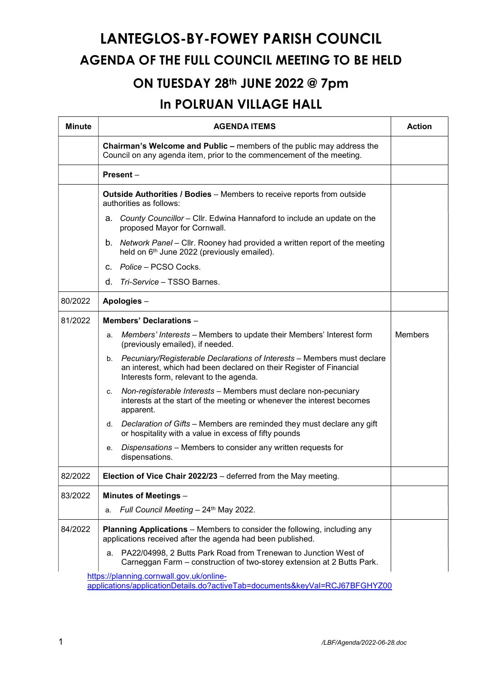## LANTEGLOS-BY-FOWEY PARISH COUNCIL AGENDA OF THE FULL COUNCIL MEETING TO BE HELD

## ON TUESDAY 28<sup>th</sup> JUNE 2022 @ 7pm

## In POLRUAN VILLAGE HALL

| <b>Minute</b>                                                                                                           | <b>AGENDA ITEMS</b>                                                                                                                                                                             | <b>Action</b> |  |  |
|-------------------------------------------------------------------------------------------------------------------------|-------------------------------------------------------------------------------------------------------------------------------------------------------------------------------------------------|---------------|--|--|
|                                                                                                                         | Chairman's Welcome and Public - members of the public may address the<br>Council on any agenda item, prior to the commencement of the meeting.                                                  |               |  |  |
|                                                                                                                         | Present-                                                                                                                                                                                        |               |  |  |
|                                                                                                                         | Outside Authorities / Bodies - Members to receive reports from outside<br>authorities as follows:                                                                                               |               |  |  |
|                                                                                                                         | a. County Councillor - Cllr. Edwina Hannaford to include an update on the<br>proposed Mayor for Cornwall.                                                                                       |               |  |  |
|                                                                                                                         | b. Network Panel – Cllr. Rooney had provided a written report of the meeting<br>held on 6 <sup>th</sup> June 2022 (previously emailed).                                                         |               |  |  |
|                                                                                                                         | c. Police – PCSO Cocks.                                                                                                                                                                         |               |  |  |
|                                                                                                                         | d. Tri-Service – TSSO Barnes.                                                                                                                                                                   |               |  |  |
| 80/2022                                                                                                                 | Apologies -                                                                                                                                                                                     |               |  |  |
| 81/2022                                                                                                                 | <b>Members' Declarations -</b>                                                                                                                                                                  |               |  |  |
|                                                                                                                         | Members' Interests - Members to update their Members' Interest form<br>a.<br>(previously emailed), if needed.                                                                                   | Members       |  |  |
|                                                                                                                         | Pecuniary/Registerable Declarations of Interests - Members must declare<br>b.<br>an interest, which had been declared on their Register of Financial<br>Interests form, relevant to the agenda. |               |  |  |
|                                                                                                                         | Non-registerable Interests - Members must declare non-pecuniary<br>C.<br>interests at the start of the meeting or whenever the interest becomes<br>apparent.                                    |               |  |  |
|                                                                                                                         | Declaration of Gifts - Members are reminded they must declare any gift<br>d.<br>or hospitality with a value in excess of fifty pounds                                                           |               |  |  |
|                                                                                                                         | Dispensations - Members to consider any written requests for<br>е.<br>dispensations.                                                                                                            |               |  |  |
| 82/2022                                                                                                                 | Election of Vice Chair 2022/23 - deferred from the May meeting.                                                                                                                                 |               |  |  |
| 83/2022                                                                                                                 | Minutes of Meetings -                                                                                                                                                                           |               |  |  |
|                                                                                                                         | Full Council Meeting - 24th May 2022.<br>a.                                                                                                                                                     |               |  |  |
| 84/2022                                                                                                                 | <b>Planning Applications</b> – Members to consider the following, including any<br>applications received after the agenda had been published.                                                   |               |  |  |
|                                                                                                                         | PA22/04998, 2 Butts Park Road from Trenewan to Junction West of<br>a.<br>Carneggan Farm – construction of two-storey extension at 2 Butts Park.                                                 |               |  |  |
| https://planning.cornwall.gov.uk/online-<br>applications/applicationDetails.do?activeTab=documents&keyVal=RCJ67BFGHYZ00 |                                                                                                                                                                                                 |               |  |  |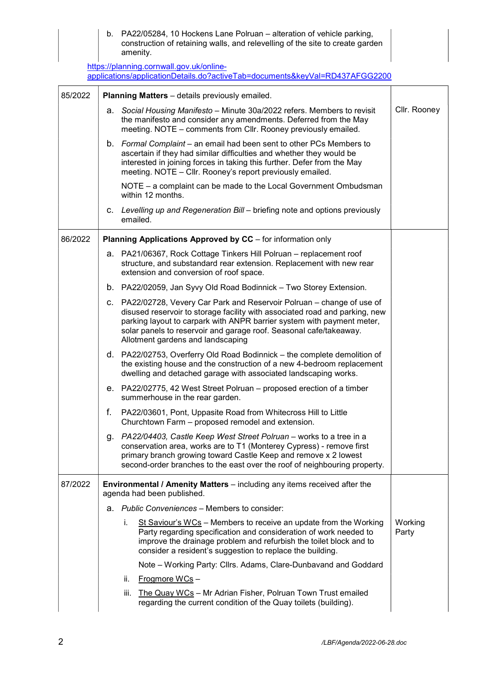b. PA22/05284, 10 Hockens Lane Polruan – alteration of vehicle parking, construction of retaining walls, and relevelling of the site to create garden amenity.

https://planning.cornwall.gov.uk/onlineapplications/applicationDetails.do?activeTab=documents&keyVal=RD437AFGG2200

| 85/2022 | <b>Planning Matters</b> - details previously emailed. |                                                                                                                                                                                                                                                                                                                                             |                  |
|---------|-------------------------------------------------------|---------------------------------------------------------------------------------------------------------------------------------------------------------------------------------------------------------------------------------------------------------------------------------------------------------------------------------------------|------------------|
|         |                                                       | a. Social Housing Manifesto - Minute 30a/2022 refers. Members to revisit<br>the manifesto and consider any amendments. Deferred from the May<br>meeting. NOTE - comments from CIIr. Rooney previously emailed.                                                                                                                              | Cllr. Rooney     |
|         |                                                       | b. Formal Complaint - an email had been sent to other PCs Members to<br>ascertain if they had similar difficulties and whether they would be<br>interested in joining forces in taking this further. Defer from the May<br>meeting. NOTE - Cllr. Rooney's report previously emailed.                                                        |                  |
|         |                                                       | NOTE - a complaint can be made to the Local Government Ombudsman<br>within 12 months.                                                                                                                                                                                                                                                       |                  |
|         |                                                       | c. Levelling up and Regeneration Bill - briefing note and options previously<br>emailed.                                                                                                                                                                                                                                                    |                  |
| 86/2022 |                                                       | Planning Applications Approved by CC - for information only                                                                                                                                                                                                                                                                                 |                  |
|         |                                                       | a. PA21/06367, Rock Cottage Tinkers Hill Polruan - replacement roof<br>structure, and substandard rear extension. Replacement with new rear<br>extension and conversion of roof space.                                                                                                                                                      |                  |
|         |                                                       | b. PA22/02059, Jan Syvy Old Road Bodinnick - Two Storey Extension.                                                                                                                                                                                                                                                                          |                  |
|         |                                                       | c. PA22/02728, Vevery Car Park and Reservoir Polruan - change of use of<br>disused reservoir to storage facility with associated road and parking, new<br>parking layout to carpark with ANPR barrier system with payment meter,<br>solar panels to reservoir and garage roof. Seasonal cafe/takeaway.<br>Allotment gardens and landscaping |                  |
|         |                                                       | d. PA22/02753, Overferry Old Road Bodinnick - the complete demolition of<br>the existing house and the construction of a new 4-bedroom replacement<br>dwelling and detached garage with associated landscaping works.                                                                                                                       |                  |
|         |                                                       | e. PA22/02775, 42 West Street Polruan - proposed erection of a timber<br>summerhouse in the rear garden.                                                                                                                                                                                                                                    |                  |
|         | f.                                                    | PA22/03601, Pont, Uppasite Road from Whitecross Hill to Little<br>Churchtown Farm - proposed remodel and extension.                                                                                                                                                                                                                         |                  |
|         |                                                       | g. PA22/04403, Castle Keep West Street Polruan - works to a tree in a<br>conservation area, works are to T1 (Monterey Cypress) - remove first<br>primary branch growing toward Castle Keep and remove x 2 lowest<br>second-order branches to the east over the roof of neighbouring property.                                               |                  |
| 87/2022 |                                                       | <b>Environmental / Amenity Matters</b> – including any items received after the<br>agenda had been published.                                                                                                                                                                                                                               |                  |
|         |                                                       | a. Public Conveniences – Members to consider:                                                                                                                                                                                                                                                                                               |                  |
|         |                                                       | i.<br>St Saviour's $WCs$ – Members to receive an update from the Working<br>Party regarding specification and consideration of work needed to<br>improve the drainage problem and refurbish the toilet block and to<br>consider a resident's suggestion to replace the building.                                                            | Working<br>Party |
|         |                                                       | Note – Working Party: Cllrs. Adams, Clare-Dunbavand and Goddard                                                                                                                                                                                                                                                                             |                  |
|         |                                                       | <b>Frogmore WCs-</b><br>ii.                                                                                                                                                                                                                                                                                                                 |                  |
|         |                                                       | The Quay WCs - Mr Adrian Fisher, Polruan Town Trust emailed<br>iii.<br>regarding the current condition of the Quay toilets (building).                                                                                                                                                                                                      |                  |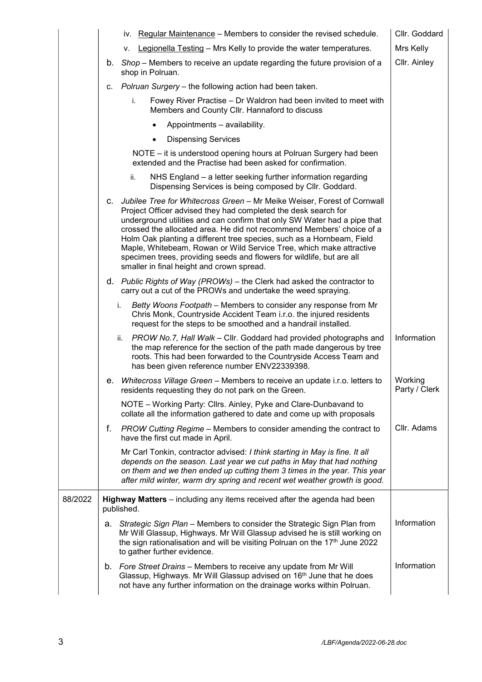|         |    | iv. Regular Maintenance – Members to consider the revised schedule.                                                                                                                                                                                                                                                                                                                                                                                                                                                                                                  | Cllr. Goddard            |
|---------|----|----------------------------------------------------------------------------------------------------------------------------------------------------------------------------------------------------------------------------------------------------------------------------------------------------------------------------------------------------------------------------------------------------------------------------------------------------------------------------------------------------------------------------------------------------------------------|--------------------------|
|         |    | Legionella Testing - Mrs Kelly to provide the water temperatures.<br>v.                                                                                                                                                                                                                                                                                                                                                                                                                                                                                              | Mrs Kelly                |
|         |    | b. Shop – Members to receive an update regarding the future provision of a<br>shop in Polruan.                                                                                                                                                                                                                                                                                                                                                                                                                                                                       | Cllr. Ainley             |
|         |    | c. Polruan Surgery - the following action had been taken.                                                                                                                                                                                                                                                                                                                                                                                                                                                                                                            |                          |
|         |    | i.<br>Fowey River Practise – Dr Waldron had been invited to meet with<br>Members and County Cllr. Hannaford to discuss                                                                                                                                                                                                                                                                                                                                                                                                                                               |                          |
|         |    | Appointments - availability.                                                                                                                                                                                                                                                                                                                                                                                                                                                                                                                                         |                          |
|         |    | <b>Dispensing Services</b><br>$\bullet$                                                                                                                                                                                                                                                                                                                                                                                                                                                                                                                              |                          |
|         |    | NOTE – it is understood opening hours at Polruan Surgery had been<br>extended and the Practise had been asked for confirmation.                                                                                                                                                                                                                                                                                                                                                                                                                                      |                          |
|         |    | NHS England - a letter seeking further information regarding<br>ii.<br>Dispensing Services is being composed by Cllr. Goddard.                                                                                                                                                                                                                                                                                                                                                                                                                                       |                          |
|         | C. | Jubilee Tree for Whitecross Green - Mr Meike Weiser, Forest of Cornwall<br>Project Officer advised they had completed the desk search for<br>underground utilities and can confirm that only SW Water had a pipe that<br>crossed the allocated area. He did not recommend Members' choice of a<br>Holm Oak planting a different tree species, such as a Hornbeam, Field<br>Maple, Whitebeam, Rowan or Wild Service Tree, which make attractive<br>specimen trees, providing seeds and flowers for wildlife, but are all<br>smaller in final height and crown spread. |                          |
|         |    | d. Public Rights of Way (PROWs) – the Clerk had asked the contractor to<br>carry out a cut of the PROWs and undertake the weed spraying.                                                                                                                                                                                                                                                                                                                                                                                                                             |                          |
|         |    | Betty Woons Footpath – Members to consider any response from Mr<br>i.<br>Chris Monk, Countryside Accident Team i.r.o. the injured residents<br>request for the steps to be smoothed and a handrail installed.                                                                                                                                                                                                                                                                                                                                                        |                          |
|         |    | PROW No.7, Hall Walk - Cllr. Goddard had provided photographs and<br>ii.<br>the map reference for the section of the path made dangerous by tree<br>roots. This had been forwarded to the Countryside Access Team and<br>has been given reference number ENV22339398.                                                                                                                                                                                                                                                                                                | Information              |
|         |    | e. Whitecross Village Green - Members to receive an update i.r.o. letters to<br>residents requesting they do not park on the Green.                                                                                                                                                                                                                                                                                                                                                                                                                                  | Working<br>Party / Clerk |
|         |    | NOTE - Working Party: Cllrs. Ainley, Pyke and Clare-Dunbavand to<br>collate all the information gathered to date and come up with proposals                                                                                                                                                                                                                                                                                                                                                                                                                          |                          |
|         | f. | PROW Cutting Regime – Members to consider amending the contract to<br>have the first cut made in April.                                                                                                                                                                                                                                                                                                                                                                                                                                                              | Cllr. Adams              |
|         |    | Mr Carl Tonkin, contractor advised: I think starting in May is fine. It all<br>depends on the season. Last year we cut paths in May that had nothing<br>on them and we then ended up cutting them 3 times in the year. This year<br>after mild winter, warm dry spring and recent wet weather growth is good.                                                                                                                                                                                                                                                        |                          |
| 88/2022 |    | Highway Matters - including any items received after the agenda had been<br>published.                                                                                                                                                                                                                                                                                                                                                                                                                                                                               |                          |
|         | а. | Strategic Sign Plan - Members to consider the Strategic Sign Plan from<br>Mr Will Glassup, Highways. Mr Will Glassup advised he is still working on<br>the sign rationalisation and will be visiting Polruan on the 17th June 2022<br>to gather further evidence.                                                                                                                                                                                                                                                                                                    | Information              |
|         |    | b. Fore Street Drains - Members to receive any update from Mr Will<br>Glassup, Highways. Mr Will Glassup advised on 16 <sup>th</sup> June that he does<br>not have any further information on the drainage works within Polruan.                                                                                                                                                                                                                                                                                                                                     | Information              |